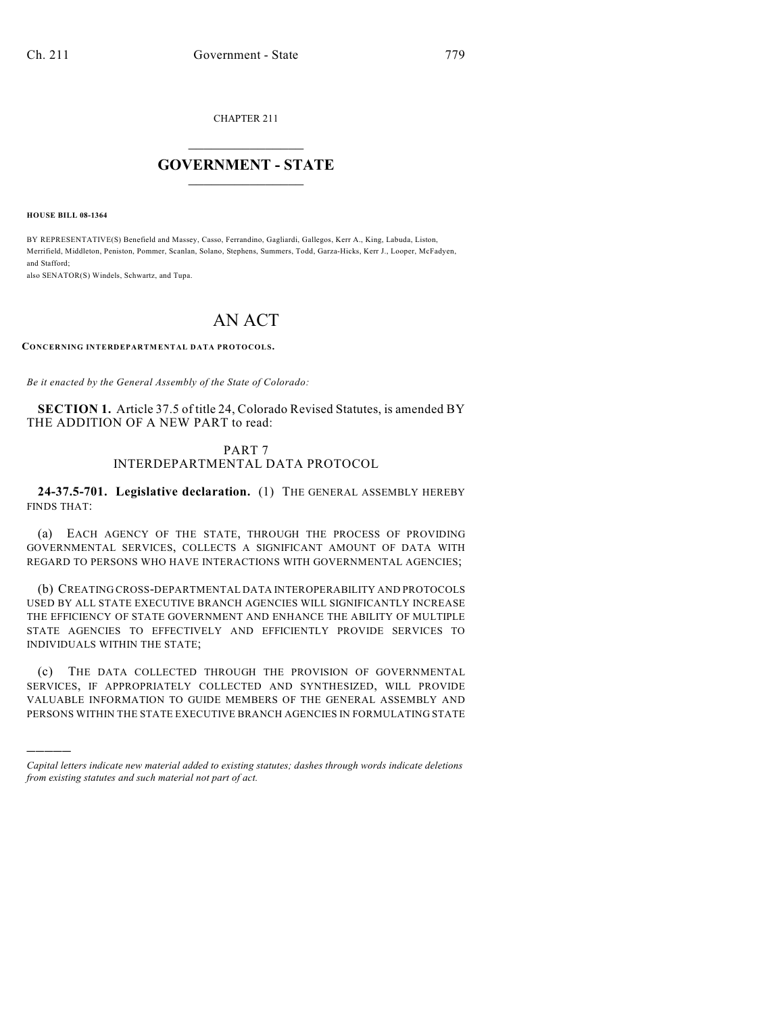CHAPTER 211

## $\overline{\phantom{a}}$  . The set of the set of the set of the set of the set of the set of the set of the set of the set of the set of the set of the set of the set of the set of the set of the set of the set of the set of the set o **GOVERNMENT - STATE**  $\_$

**HOUSE BILL 08-1364**

)))))

BY REPRESENTATIVE(S) Benefield and Massey, Casso, Ferrandino, Gagliardi, Gallegos, Kerr A., King, Labuda, Liston, Merrifield, Middleton, Peniston, Pommer, Scanlan, Solano, Stephens, Summers, Todd, Garza-Hicks, Kerr J., Looper, McFadyen, and Stafford;

also SENATOR(S) Windels, Schwartz, and Tupa.

## AN ACT

**CONCERNING INTERDEPARTMENTAL DATA PROTOCOLS.**

*Be it enacted by the General Assembly of the State of Colorado:*

**SECTION 1.** Article 37.5 of title 24, Colorado Revised Statutes, is amended BY THE ADDITION OF A NEW PART to read:

## PART 7 INTERDEPARTMENTAL DATA PROTOCOL

**24-37.5-701. Legislative declaration.** (1) THE GENERAL ASSEMBLY HEREBY FINDS THAT:

(a) EACH AGENCY OF THE STATE, THROUGH THE PROCESS OF PROVIDING GOVERNMENTAL SERVICES, COLLECTS A SIGNIFICANT AMOUNT OF DATA WITH REGARD TO PERSONS WHO HAVE INTERACTIONS WITH GOVERNMENTAL AGENCIES;

(b) CREATING CROSS-DEPARTMENTAL DATA INTEROPERABILITY AND PROTOCOLS USED BY ALL STATE EXECUTIVE BRANCH AGENCIES WILL SIGNIFICANTLY INCREASE THE EFFICIENCY OF STATE GOVERNMENT AND ENHANCE THE ABILITY OF MULTIPLE STATE AGENCIES TO EFFECTIVELY AND EFFICIENTLY PROVIDE SERVICES TO INDIVIDUALS WITHIN THE STATE;

(c) THE DATA COLLECTED THROUGH THE PROVISION OF GOVERNMENTAL SERVICES, IF APPROPRIATELY COLLECTED AND SYNTHESIZED, WILL PROVIDE VALUABLE INFORMATION TO GUIDE MEMBERS OF THE GENERAL ASSEMBLY AND PERSONS WITHIN THE STATE EXECUTIVE BRANCH AGENCIES IN FORMULATING STATE

*Capital letters indicate new material added to existing statutes; dashes through words indicate deletions from existing statutes and such material not part of act.*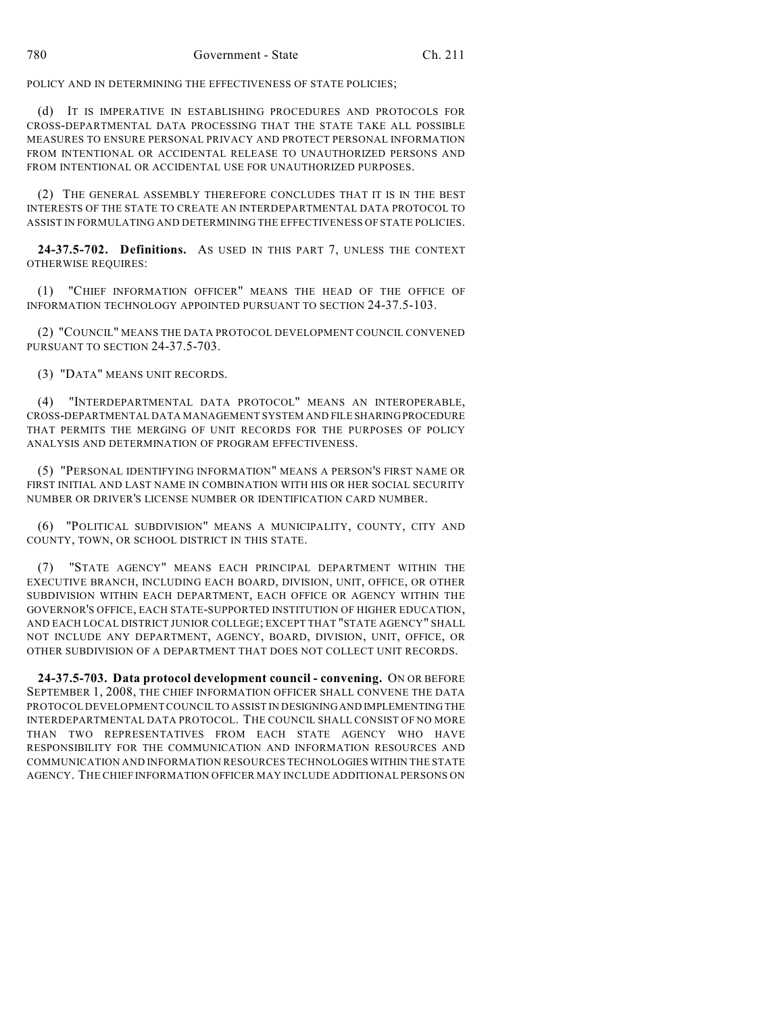POLICY AND IN DETERMINING THE EFFECTIVENESS OF STATE POLICIES;

(d) IT IS IMPERATIVE IN ESTABLISHING PROCEDURES AND PROTOCOLS FOR CROSS-DEPARTMENTAL DATA PROCESSING THAT THE STATE TAKE ALL POSSIBLE MEASURES TO ENSURE PERSONAL PRIVACY AND PROTECT PERSONAL INFORMATION FROM INTENTIONAL OR ACCIDENTAL RELEASE TO UNAUTHORIZED PERSONS AND FROM INTENTIONAL OR ACCIDENTAL USE FOR UNAUTHORIZED PURPOSES.

(2) THE GENERAL ASSEMBLY THEREFORE CONCLUDES THAT IT IS IN THE BEST INTERESTS OF THE STATE TO CREATE AN INTERDEPARTMENTAL DATA PROTOCOL TO ASSIST IN FORMULATING AND DETERMINING THE EFFECTIVENESS OF STATE POLICIES.

**24-37.5-702. Definitions.** AS USED IN THIS PART 7, UNLESS THE CONTEXT OTHERWISE REQUIRES:

(1) "CHIEF INFORMATION OFFICER" MEANS THE HEAD OF THE OFFICE OF INFORMATION TECHNOLOGY APPOINTED PURSUANT TO SECTION 24-37.5-103.

(2) "COUNCIL" MEANS THE DATA PROTOCOL DEVELOPMENT COUNCIL CONVENED PURSUANT TO SECTION 24-37.5-703.

(3) "DATA" MEANS UNIT RECORDS.

(4) "INTERDEPARTMENTAL DATA PROTOCOL" MEANS AN INTEROPERABLE, CROSS-DEPARTMENTAL DATA MANAGEMENT SYSTEM AND FILE SHARING PROCEDURE THAT PERMITS THE MERGING OF UNIT RECORDS FOR THE PURPOSES OF POLICY ANALYSIS AND DETERMINATION OF PROGRAM EFFECTIVENESS.

(5) "PERSONAL IDENTIFYING INFORMATION" MEANS A PERSON'S FIRST NAME OR FIRST INITIAL AND LAST NAME IN COMBINATION WITH HIS OR HER SOCIAL SECURITY NUMBER OR DRIVER'S LICENSE NUMBER OR IDENTIFICATION CARD NUMBER.

(6) "POLITICAL SUBDIVISION" MEANS A MUNICIPALITY, COUNTY, CITY AND COUNTY, TOWN, OR SCHOOL DISTRICT IN THIS STATE.

(7) "STATE AGENCY" MEANS EACH PRINCIPAL DEPARTMENT WITHIN THE EXECUTIVE BRANCH, INCLUDING EACH BOARD, DIVISION, UNIT, OFFICE, OR OTHER SUBDIVISION WITHIN EACH DEPARTMENT, EACH OFFICE OR AGENCY WITHIN THE GOVERNOR'S OFFICE, EACH STATE-SUPPORTED INSTITUTION OF HIGHER EDUCATION, AND EACH LOCAL DISTRICT JUNIOR COLLEGE; EXCEPT THAT "STATE AGENCY" SHALL NOT INCLUDE ANY DEPARTMENT, AGENCY, BOARD, DIVISION, UNIT, OFFICE, OR OTHER SUBDIVISION OF A DEPARTMENT THAT DOES NOT COLLECT UNIT RECORDS.

**24-37.5-703. Data protocol development council - convening.** ON OR BEFORE SEPTEMBER 1, 2008, THE CHIEF INFORMATION OFFICER SHALL CONVENE THE DATA PROTOCOL DEVELOPMENT COUNCIL TO ASSIST IN DESIGNING AND IMPLEMENTING THE INTERDEPARTMENTAL DATA PROTOCOL. THE COUNCIL SHALL CONSIST OF NO MORE THAN TWO REPRESENTATIVES FROM EACH STATE AGENCY WHO HAVE RESPONSIBILITY FOR THE COMMUNICATION AND INFORMATION RESOURCES AND COMMUNICATION AND INFORMATION RESOURCES TECHNOLOGIES WITHIN THE STATE AGENCY. THE CHIEF INFORMATION OFFICER MAY INCLUDE ADDITIONAL PERSONS ON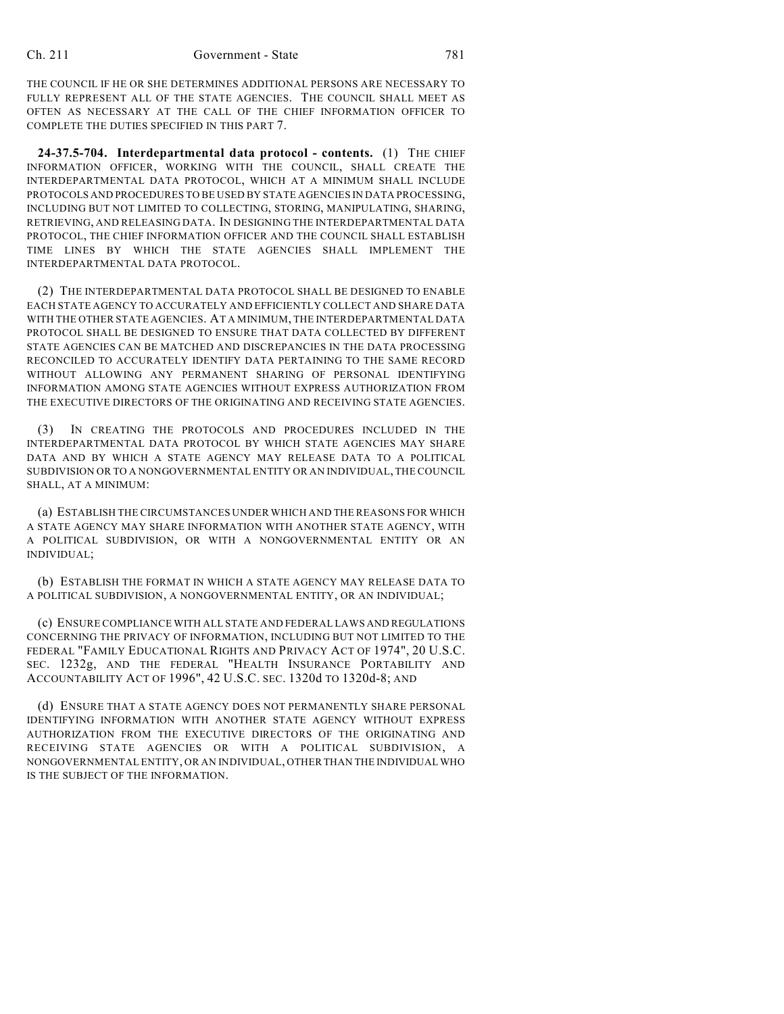THE COUNCIL IF HE OR SHE DETERMINES ADDITIONAL PERSONS ARE NECESSARY TO FULLY REPRESENT ALL OF THE STATE AGENCIES. THE COUNCIL SHALL MEET AS OFTEN AS NECESSARY AT THE CALL OF THE CHIEF INFORMATION OFFICER TO COMPLETE THE DUTIES SPECIFIED IN THIS PART 7.

**24-37.5-704. Interdepartmental data protocol - contents.** (1) THE CHIEF INFORMATION OFFICER, WORKING WITH THE COUNCIL, SHALL CREATE THE INTERDEPARTMENTAL DATA PROTOCOL, WHICH AT A MINIMUM SHALL INCLUDE PROTOCOLS AND PROCEDURES TO BE USED BY STATE AGENCIES IN DATA PROCESSING, INCLUDING BUT NOT LIMITED TO COLLECTING, STORING, MANIPULATING, SHARING, RETRIEVING, AND RELEASING DATA. IN DESIGNING THE INTERDEPARTMENTAL DATA PROTOCOL, THE CHIEF INFORMATION OFFICER AND THE COUNCIL SHALL ESTABLISH TIME LINES BY WHICH THE STATE AGENCIES SHALL IMPLEMENT THE INTERDEPARTMENTAL DATA PROTOCOL.

(2) THE INTERDEPARTMENTAL DATA PROTOCOL SHALL BE DESIGNED TO ENABLE EACH STATE AGENCY TO ACCURATELY AND EFFICIENTLY COLLECT AND SHARE DATA WITH THE OTHER STATE AGENCIES. AT A MINIMUM, THE INTERDEPARTMENTAL DATA PROTOCOL SHALL BE DESIGNED TO ENSURE THAT DATA COLLECTED BY DIFFERENT STATE AGENCIES CAN BE MATCHED AND DISCREPANCIES IN THE DATA PROCESSING RECONCILED TO ACCURATELY IDENTIFY DATA PERTAINING TO THE SAME RECORD WITHOUT ALLOWING ANY PERMANENT SHARING OF PERSONAL IDENTIFYING INFORMATION AMONG STATE AGENCIES WITHOUT EXPRESS AUTHORIZATION FROM THE EXECUTIVE DIRECTORS OF THE ORIGINATING AND RECEIVING STATE AGENCIES.

(3) IN CREATING THE PROTOCOLS AND PROCEDURES INCLUDED IN THE INTERDEPARTMENTAL DATA PROTOCOL BY WHICH STATE AGENCIES MAY SHARE DATA AND BY WHICH A STATE AGENCY MAY RELEASE DATA TO A POLITICAL SUBDIVISION OR TO A NONGOVERNMENTAL ENTITY OR AN INDIVIDUAL, THE COUNCIL SHALL, AT A MINIMUM:

(a) ESTABLISH THE CIRCUMSTANCES UNDER WHICH AND THE REASONS FOR WHICH A STATE AGENCY MAY SHARE INFORMATION WITH ANOTHER STATE AGENCY, WITH A POLITICAL SUBDIVISION, OR WITH A NONGOVERNMENTAL ENTITY OR AN INDIVIDUAL;

(b) ESTABLISH THE FORMAT IN WHICH A STATE AGENCY MAY RELEASE DATA TO A POLITICAL SUBDIVISION, A NONGOVERNMENTAL ENTITY, OR AN INDIVIDUAL;

(c) ENSURE COMPLIANCE WITH ALL STATE AND FEDERAL LAWS AND REGULATIONS CONCERNING THE PRIVACY OF INFORMATION, INCLUDING BUT NOT LIMITED TO THE FEDERAL "FAMILY EDUCATIONAL RIGHTS AND PRIVACY ACT OF 1974", 20 U.S.C. SEC. 1232g, AND THE FEDERAL "HEALTH INSURANCE PORTABILITY AND ACCOUNTABILITY ACT OF 1996", 42 U.S.C. SEC. 1320d TO 1320d-8; AND

(d) ENSURE THAT A STATE AGENCY DOES NOT PERMANENTLY SHARE PERSONAL IDENTIFYING INFORMATION WITH ANOTHER STATE AGENCY WITHOUT EXPRESS AUTHORIZATION FROM THE EXECUTIVE DIRECTORS OF THE ORIGINATING AND RECEIVING STATE AGENCIES OR WITH A POLITICAL SUBDIVISION, A NONGOVERNMENTAL ENTITY, OR AN INDIVIDUAL, OTHER THAN THE INDIVIDUAL WHO IS THE SUBJECT OF THE INFORMATION.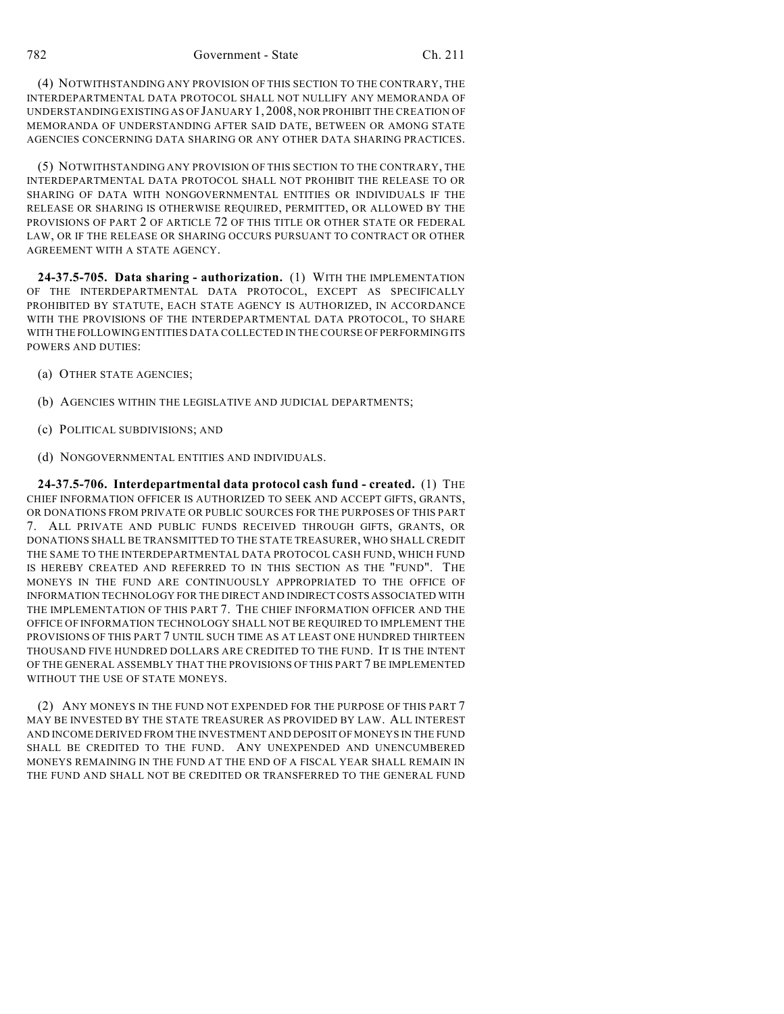(4) NOTWITHSTANDING ANY PROVISION OF THIS SECTION TO THE CONTRARY, THE INTERDEPARTMENTAL DATA PROTOCOL SHALL NOT NULLIFY ANY MEMORANDA OF UNDERSTANDING EXISTING AS OF JANUARY 1, 2008, NOR PROHIBIT THE CREATION OF MEMORANDA OF UNDERSTANDING AFTER SAID DATE, BETWEEN OR AMONG STATE AGENCIES CONCERNING DATA SHARING OR ANY OTHER DATA SHARING PRACTICES.

(5) NOTWITHSTANDING ANY PROVISION OF THIS SECTION TO THE CONTRARY, THE INTERDEPARTMENTAL DATA PROTOCOL SHALL NOT PROHIBIT THE RELEASE TO OR SHARING OF DATA WITH NONGOVERNMENTAL ENTITIES OR INDIVIDUALS IF THE RELEASE OR SHARING IS OTHERWISE REQUIRED, PERMITTED, OR ALLOWED BY THE PROVISIONS OF PART 2 OF ARTICLE 72 OF THIS TITLE OR OTHER STATE OR FEDERAL LAW, OR IF THE RELEASE OR SHARING OCCURS PURSUANT TO CONTRACT OR OTHER AGREEMENT WITH A STATE AGENCY.

**24-37.5-705. Data sharing - authorization.** (1) WITH THE IMPLEMENTATION OF THE INTERDEPARTMENTAL DATA PROTOCOL, EXCEPT AS SPECIFICALLY PROHIBITED BY STATUTE, EACH STATE AGENCY IS AUTHORIZED, IN ACCORDANCE WITH THE PROVISIONS OF THE INTERDEPARTMENTAL DATA PROTOCOL, TO SHARE WITH THE FOLLOWING ENTITIES DATA COLLECTED IN THE COURSE OF PERFORMING ITS POWERS AND DUTIES:

- (a) OTHER STATE AGENCIES;
- (b) AGENCIES WITHIN THE LEGISLATIVE AND JUDICIAL DEPARTMENTS;
- (c) POLITICAL SUBDIVISIONS; AND
- (d) NONGOVERNMENTAL ENTITIES AND INDIVIDUALS.

**24-37.5-706. Interdepartmental data protocol cash fund - created.** (1) THE CHIEF INFORMATION OFFICER IS AUTHORIZED TO SEEK AND ACCEPT GIFTS, GRANTS, OR DONATIONS FROM PRIVATE OR PUBLIC SOURCES FOR THE PURPOSES OF THIS PART 7. ALL PRIVATE AND PUBLIC FUNDS RECEIVED THROUGH GIFTS, GRANTS, OR DONATIONS SHALL BE TRANSMITTED TO THE STATE TREASURER, WHO SHALL CREDIT THE SAME TO THE INTERDEPARTMENTAL DATA PROTOCOL CASH FUND, WHICH FUND IS HEREBY CREATED AND REFERRED TO IN THIS SECTION AS THE "FUND". THE MONEYS IN THE FUND ARE CONTINUOUSLY APPROPRIATED TO THE OFFICE OF INFORMATION TECHNOLOGY FOR THE DIRECT AND INDIRECT COSTS ASSOCIATED WITH THE IMPLEMENTATION OF THIS PART 7. THE CHIEF INFORMATION OFFICER AND THE OFFICE OF INFORMATION TECHNOLOGY SHALL NOT BE REQUIRED TO IMPLEMENT THE PROVISIONS OF THIS PART 7 UNTIL SUCH TIME AS AT LEAST ONE HUNDRED THIRTEEN THOUSAND FIVE HUNDRED DOLLARS ARE CREDITED TO THE FUND. IT IS THE INTENT OF THE GENERAL ASSEMBLY THAT THE PROVISIONS OF THIS PART 7 BE IMPLEMENTED WITHOUT THE USE OF STATE MONEYS.

(2) ANY MONEYS IN THE FUND NOT EXPENDED FOR THE PURPOSE OF THIS PART 7 MAY BE INVESTED BY THE STATE TREASURER AS PROVIDED BY LAW. ALL INTEREST AND INCOME DERIVED FROM THE INVESTMENT AND DEPOSIT OF MONEYS IN THE FUND SHALL BE CREDITED TO THE FUND. ANY UNEXPENDED AND UNENCUMBERED MONEYS REMAINING IN THE FUND AT THE END OF A FISCAL YEAR SHALL REMAIN IN THE FUND AND SHALL NOT BE CREDITED OR TRANSFERRED TO THE GENERAL FUND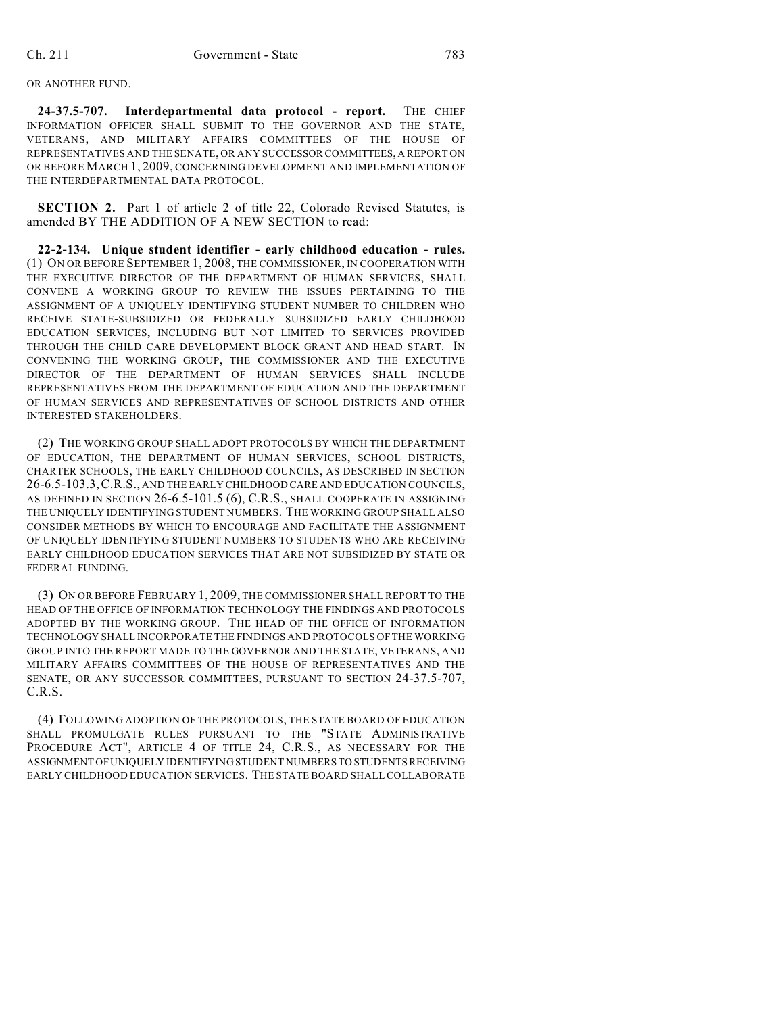## OR ANOTHER FUND.

**24-37.5-707. Interdepartmental data protocol - report.** THE CHIEF INFORMATION OFFICER SHALL SUBMIT TO THE GOVERNOR AND THE STATE, VETERANS, AND MILITARY AFFAIRS COMMITTEES OF THE HOUSE OF REPRESENTATIVES AND THE SENATE, OR ANY SUCCESSOR COMMITTEES, A REPORT ON OR BEFORE MARCH 1, 2009, CONCERNING DEVELOPMENT AND IMPLEMENTATION OF THE INTERDEPARTMENTAL DATA PROTOCOL.

**SECTION 2.** Part 1 of article 2 of title 22, Colorado Revised Statutes, is amended BY THE ADDITION OF A NEW SECTION to read:

**22-2-134. Unique student identifier - early childhood education - rules.** (1) ON OR BEFORE SEPTEMBER 1, 2008, THE COMMISSIONER, IN COOPERATION WITH THE EXECUTIVE DIRECTOR OF THE DEPARTMENT OF HUMAN SERVICES, SHALL CONVENE A WORKING GROUP TO REVIEW THE ISSUES PERTAINING TO THE ASSIGNMENT OF A UNIQUELY IDENTIFYING STUDENT NUMBER TO CHILDREN WHO RECEIVE STATE-SUBSIDIZED OR FEDERALLY SUBSIDIZED EARLY CHILDHOOD EDUCATION SERVICES, INCLUDING BUT NOT LIMITED TO SERVICES PROVIDED THROUGH THE CHILD CARE DEVELOPMENT BLOCK GRANT AND HEAD START. IN CONVENING THE WORKING GROUP, THE COMMISSIONER AND THE EXECUTIVE DIRECTOR OF THE DEPARTMENT OF HUMAN SERVICES SHALL INCLUDE REPRESENTATIVES FROM THE DEPARTMENT OF EDUCATION AND THE DEPARTMENT OF HUMAN SERVICES AND REPRESENTATIVES OF SCHOOL DISTRICTS AND OTHER INTERESTED STAKEHOLDERS.

(2) THE WORKING GROUP SHALL ADOPT PROTOCOLS BY WHICH THE DEPARTMENT OF EDUCATION, THE DEPARTMENT OF HUMAN SERVICES, SCHOOL DISTRICTS, CHARTER SCHOOLS, THE EARLY CHILDHOOD COUNCILS, AS DESCRIBED IN SECTION 26-6.5-103.3,C.R.S., AND THE EARLY CHILDHOOD CARE AND EDUCATION COUNCILS, AS DEFINED IN SECTION 26-6.5-101.5 (6), C.R.S., SHALL COOPERATE IN ASSIGNING THE UNIQUELY IDENTIFYING STUDENT NUMBERS. THE WORKING GROUP SHALL ALSO CONSIDER METHODS BY WHICH TO ENCOURAGE AND FACILITATE THE ASSIGNMENT OF UNIQUELY IDENTIFYING STUDENT NUMBERS TO STUDENTS WHO ARE RECEIVING EARLY CHILDHOOD EDUCATION SERVICES THAT ARE NOT SUBSIDIZED BY STATE OR FEDERAL FUNDING.

(3) ON OR BEFORE FEBRUARY 1, 2009, THE COMMISSIONER SHALL REPORT TO THE HEAD OF THE OFFICE OF INFORMATION TECHNOLOGY THE FINDINGS AND PROTOCOLS ADOPTED BY THE WORKING GROUP. THE HEAD OF THE OFFICE OF INFORMATION TECHNOLOGY SHALL INCORPORATE THE FINDINGS AND PROTOCOLS OF THE WORKING GROUP INTO THE REPORT MADE TO THE GOVERNOR AND THE STATE, VETERANS, AND MILITARY AFFAIRS COMMITTEES OF THE HOUSE OF REPRESENTATIVES AND THE SENATE, OR ANY SUCCESSOR COMMITTEES, PURSUANT TO SECTION 24-37.5-707, C.R.S.

(4) FOLLOWING ADOPTION OF THE PROTOCOLS, THE STATE BOARD OF EDUCATION SHALL PROMULGATE RULES PURSUANT TO THE "STATE ADMINISTRATIVE PROCEDURE ACT", ARTICLE 4 OF TITLE 24, C.R.S., AS NECESSARY FOR THE ASSIGNMENT OF UNIQUELY IDENTIFYING STUDENT NUMBERS TO STUDENTS RECEIVING EARLY CHILDHOOD EDUCATION SERVICES. THE STATE BOARD SHALL COLLABORATE